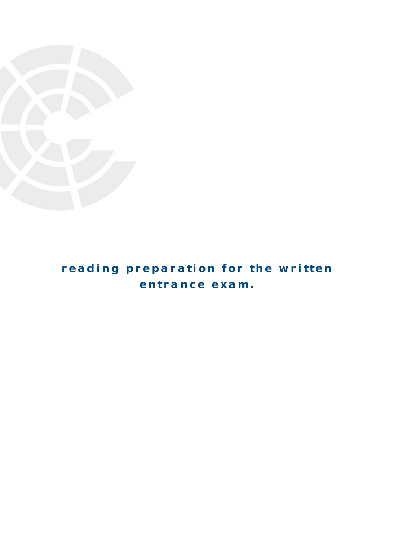

# **reading preparation for the written entrance exam.**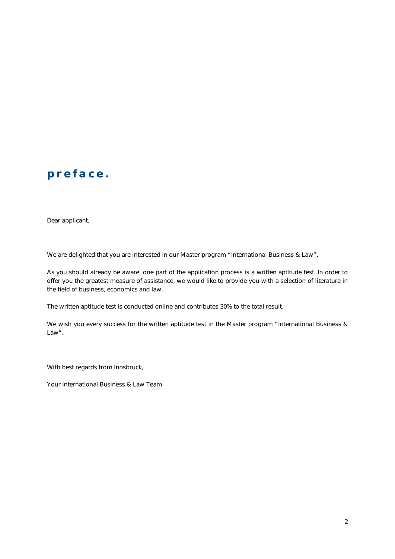# **p reface.**

Dear applicant,

We are delighted that you are interested in our Master program "International Business & Law".

As you should already be aware, one part of the application process is a written aptitude test. In order to offer you the greatest measure of assistance, we would like to provide you with a selection of literature in the field of business, economics and law.

The written aptitude test is conducted online and contributes 30% to the total result.

We wish you every success for the written aptitude test in the Master program "International Business & Law".

With best regards from Innsbruck,

Your International Business & Law Team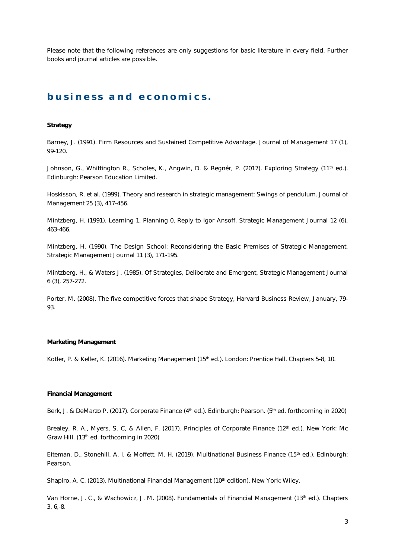Please note that the following references are only suggestions for basic literature in every field. Further books and journal articles are possible.

### **business and e conomics .**

#### **Strategy**

Barney, J. (1991). Firm Resources and Sustained Competitive Advantage. *Journal of Management* 17 (1), 99-120.

Johnson, G., Whittington R., Scholes, K., Angwin, D. & Regnér, P. (2017). *Exploring Strategy* (11<sup>th</sup> ed.). Edinburgh: Pearson Education Limited.

Hoskisson, R. et al. (1999). Theory and research in strategic management: Swings of pendulum. *Journal of Management* 25 (3), 417-456.

Mintzberg, H. (1991). Learning 1, Planning 0, Reply to Igor Ansoff. *Strategic Management Journal* 12 (6), 463-466.

Mintzberg, H. (1990). The Design School: Reconsidering the Basic Premises of Strategic Management. Strategic Management Journal 11 (3), 171-195.

Mintzberg, H., & Waters J. (1985). Of Strategies, Deliberate and Emergent, *Strategic Management Journal* 6 (3), 257-272.

Porter, M. (2008). The five competitive forces that shape Strategy, *Harvard Business Review*, January, 79- 93.

#### **Marketing Management**

Kotler, P. & Keller, K. (2016). *Marketing Management* (15th ed.). London: Prentice Hall. Chapters 5-8, 10.

#### **Financial Management**

Berk, J. & DeMarzo P. (2017). *Corporate Finance* (4<sup>th</sup> ed.). Edinburgh: Pearson. (5<sup>th</sup> ed. forthcoming in 2020)

Brealey, R. A., Myers, S. C, & Allen, F. (2017). *Principles of Corporate Finance* (12<sup>th</sup> ed.). New York: Mc Graw Hill. (13th ed. forthcoming in 2020)

Eiteman, D., Stonehill, A. I. & Moffett, M. H. (2019). *Multinational Business Finance* (15th ed.). Edinburgh: Pearson.

Shapiro, A. C. (2013). *Multinational Financial Management* (10<sup>th</sup> edition). New York: Wiley.

Van Horne, J. C., & Wachowicz, J. M. (2008). *Fundamentals of Financial Management* (13th ed.). Chapters 3, 6,-8.